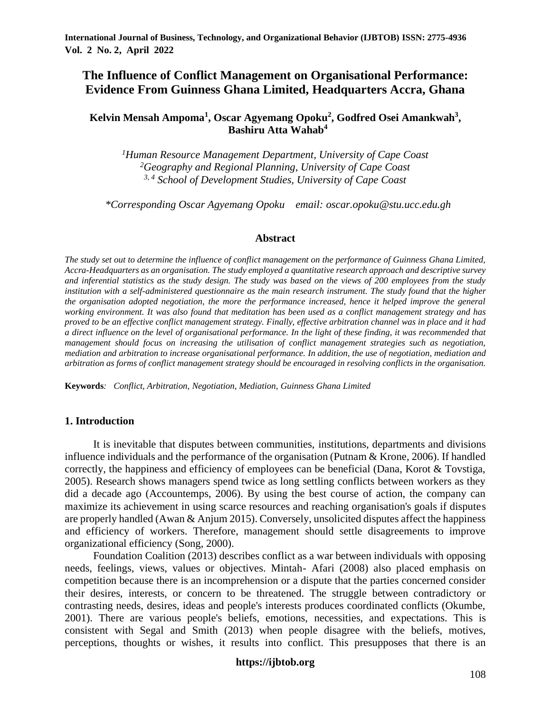# **The Influence of Conflict Management on Organisational Performance: Evidence From Guinness Ghana Limited, Headquarters Accra, Ghana**

## **Kelvin Mensah Ampoma<sup>1</sup> , Oscar Agyemang Opoku<sup>2</sup> , Godfred Osei Amankwah<sup>3</sup> , Bashiru Atta Wahab<sup>4</sup>**

*<sup>1</sup>Human Resource Management Department, University of Cape Coast <sup>2</sup>Geography and Regional Planning, University of Cape Coast 3, 4 School of Development Studies, University of Cape Coast* 

 *\*Corresponding Oscar Agyemang Opoku email: oscar.opoku@stu.ucc.edu.gh*

#### **Abstract**

*The study set out to determine the influence of conflict management on the performance of Guinness Ghana Limited, Accra-Headquarters as an organisation. The study employed a quantitative research approach and descriptive survey and inferential statistics as the study design. The study was based on the views of 200 employees from the study institution with a self-administered questionnaire as the main research instrument. The study found that the higher the organisation adopted negotiation, the more the performance increased, hence it helped improve the general working environment. It was also found that meditation has been used as a conflict management strategy and has proved to be an effective conflict management strategy. Finally, effective arbitration channel was in place and it had a direct influence on the level of organisational performance. In the light of these finding, it was recommended that management should focus on increasing the utilisation of conflict management strategies such as negotiation, mediation and arbitration to increase organisational performance. In addition, the use of negotiation, mediation and arbitration as forms of conflict management strategy should be encouraged in resolving conflicts in the organisation.*

**Keywords***: Conflict, Arbitration, Negotiation, Mediation, Guinness Ghana Limited* 

### **1. Introduction**

It is inevitable that disputes between communities, institutions, departments and divisions influence individuals and the performance of the organisation (Putnam & Krone, 2006). If handled correctly, the happiness and efficiency of employees can be beneficial (Dana, Korot & Tovstiga, 2005). Research shows managers spend twice as long settling conflicts between workers as they did a decade ago (Accountemps, 2006). By using the best course of action, the company can maximize its achievement in using scarce resources and reaching organisation's goals if disputes are properly handled (Awan & Anjum 2015). Conversely, unsolicited disputes affect the happiness and efficiency of workers. Therefore, management should settle disagreements to improve organizational efficiency (Song, 2000).

Foundation Coalition (2013) describes conflict as a war between individuals with opposing needs, feelings, views, values or objectives. Mintah- Afari (2008) also placed emphasis on competition because there is an incomprehension or a dispute that the parties concerned consider their desires, interests, or concern to be threatened. The struggle between contradictory or contrasting needs, desires, ideas and people's interests produces coordinated conflicts (Okumbe, 2001). There are various people's beliefs, emotions, necessities, and expectations. This is consistent with Segal and Smith (2013) when people disagree with the beliefs, motives, perceptions, thoughts or wishes, it results into conflict. This presupposes that there is an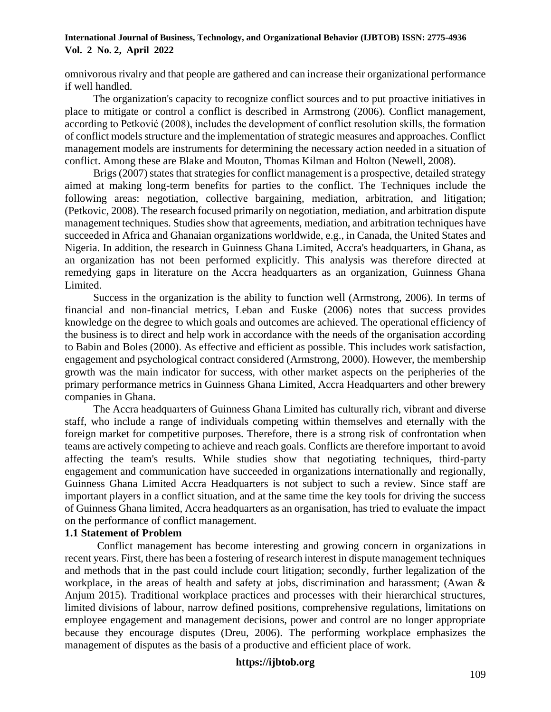omnivorous rivalry and that people are gathered and can increase their organizational performance if well handled.

The organization's capacity to recognize conflict sources and to put proactive initiatives in place to mitigate or control a conflict is described in Armstrong (2006). Conflict management, according to Petković (2008), includes the development of conflict resolution skills, the formation of conflict models structure and the implementation of strategic measures and approaches. Conflict management models are instruments for determining the necessary action needed in a situation of conflict. Among these are Blake and Mouton, Thomas Kilman and Holton (Newell, 2008).

Brigs (2007) states that strategies for conflict management is a prospective, detailed strategy aimed at making long-term benefits for parties to the conflict. The Techniques include the following areas: negotiation, collective bargaining, mediation, arbitration, and litigation; (Petkovic, 2008). The research focused primarily on negotiation, mediation, and arbitration dispute management techniques. Studies show that agreements, mediation, and arbitration techniques have succeeded in Africa and Ghanaian organizations worldwide, e.g., in Canada, the United States and Nigeria. In addition, the research in Guinness Ghana Limited, Accra's headquarters, in Ghana, as an organization has not been performed explicitly. This analysis was therefore directed at remedying gaps in literature on the Accra headquarters as an organization, Guinness Ghana Limited.

Success in the organization is the ability to function well (Armstrong, 2006). In terms of financial and non-financial metrics, Leban and Euske (2006) notes that success provides knowledge on the degree to which goals and outcomes are achieved. The operational efficiency of the business is to direct and help work in accordance with the needs of the organisation according to Babin and Boles (2000). As effective and efficient as possible. This includes work satisfaction, engagement and psychological contract considered (Armstrong, 2000). However, the membership growth was the main indicator for success, with other market aspects on the peripheries of the primary performance metrics in Guinness Ghana Limited, Accra Headquarters and other brewery companies in Ghana.

The Accra headquarters of Guinness Ghana Limited has culturally rich, vibrant and diverse staff, who include a range of individuals competing within themselves and eternally with the foreign market for competitive purposes. Therefore, there is a strong risk of confrontation when teams are actively competing to achieve and reach goals. Conflicts are therefore important to avoid affecting the team's results. While studies show that negotiating techniques, third-party engagement and communication have succeeded in organizations internationally and regionally, Guinness Ghana Limited Accra Headquarters is not subject to such a review. Since staff are important players in a conflict situation, and at the same time the key tools for driving the success of Guinness Ghana limited, Accra headquarters as an organisation, has tried to evaluate the impact on the performance of conflict management.

## **1.1 Statement of Problem**

Conflict management has become interesting and growing concern in organizations in recent years. First, there has been a fostering of research interest in dispute management techniques and methods that in the past could include court litigation; secondly, further legalization of the workplace, in the areas of health and safety at jobs, discrimination and harassment; (Awan & Anjum 2015). Traditional workplace practices and processes with their hierarchical structures, limited divisions of labour, narrow defined positions, comprehensive regulations, limitations on employee engagement and management decisions, power and control are no longer appropriate because they encourage disputes (Dreu, 2006). The performing workplace emphasizes the management of disputes as the basis of a productive and efficient place of work.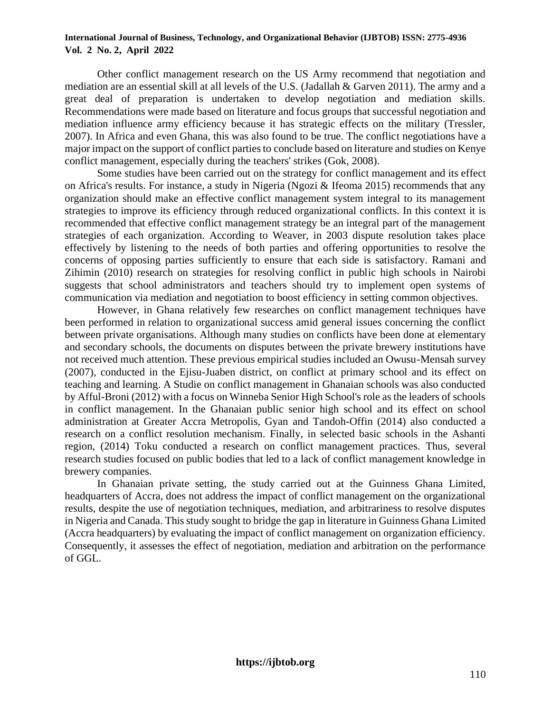Other conflict management research on the US Army recommend that negotiation and mediation are an essential skill at all levels of the U.S. (Jadallah & Garven 2011). The army and a great deal of preparation is undertaken to develop negotiation and mediation skills. Recommendations were made based on literature and focus groups that successful negotiation and mediation influence army efficiency because it has strategic effects on the military (Tressler, 2007). In Africa and even Ghana, this was also found to be true. The conflict negotiations have a major impact on the support of conflict parties to conclude based on literature and studies on Kenye conflict management, especially during the teachers' strikes (Gok, 2008).

Some studies have been carried out on the strategy for conflict management and its effect on Africa's results. For instance, a study in Nigeria (Ngozi & Ifeoma 2015) recommends that any organization should make an effective conflict management system integral to its management strategies to improve its efficiency through reduced organizational conflicts. In this context it is recommended that effective conflict management strategy be an integral part of the management strategies of each organization. According to Weaver, in 2003 dispute resolution takes place effectively by listening to the needs of both parties and offering opportunities to resolve the concerns of opposing parties sufficiently to ensure that each side is satisfactory. Ramani and Zihimin (2010) research on strategies for resolving conflict in public high schools in Nairobi suggests that school administrators and teachers should try to implement open systems of communication via mediation and negotiation to boost efficiency in setting common objectives.

However, in Ghana relatively few researches on conflict management techniques have been performed in relation to organizational success amid general issues concerning the conflict between private organisations. Although many studies on conflicts have been done at elementary and secondary schools, the documents on disputes between the private brewery institutions have not received much attention. These previous empirical studies included an Owusu-Mensah survey (2007), conducted in the Ejisu-Juaben district, on conflict at primary school and its effect on teaching and learning. A Studie on conflict management in Ghanaian schools was also conducted by Afful-Broni (2012) with a focus on Winneba Senior High School's role as the leaders of schools in conflict management. In the Ghanaian public senior high school and its effect on school administration at Greater Accra Metropolis, Gyan and Tandoh-Offin (2014) also conducted a research on a conflict resolution mechanism. Finally, in selected basic schools in the Ashanti region, (2014) Toku conducted a research on conflict management practices. Thus, several research studies focused on public bodies that led to a lack of conflict management knowledge in brewery companies.

In Ghanaian private setting, the study carried out at the Guinness Ghana Limited, headquarters of Accra, does not address the impact of conflict management on the organizational results, despite the use of negotiation techniques, mediation, and arbitrariness to resolve disputes in Nigeria and Canada. This study sought to bridge the gap in literature in Guinness Ghana Limited (Accra headquarters) by evaluating the impact of conflict management on organization efficiency. Consequently, it assesses the effect of negotiation, mediation and arbitration on the performance of GGL.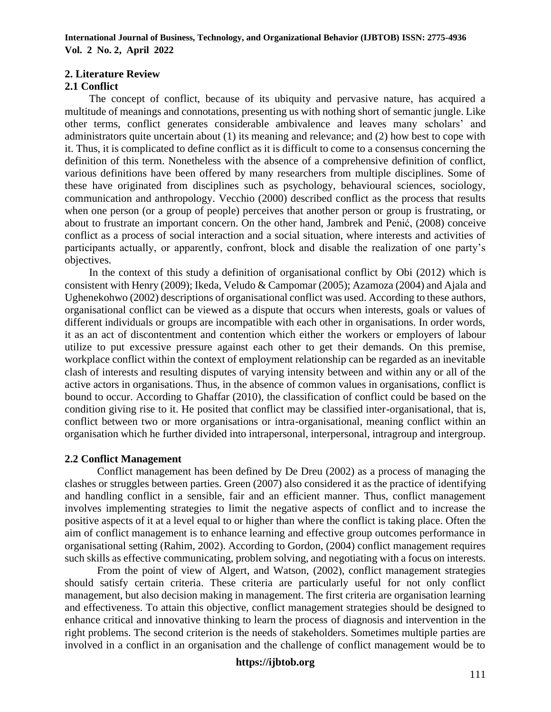## **2. Literature Review**

## **2.1 Conflict**

The concept of conflict, because of its ubiquity and pervasive nature, has acquired a multitude of meanings and connotations, presenting us with nothing short of semantic jungle. Like other terms, conflict generates considerable ambivalence and leaves many scholars' and administrators quite uncertain about (1) its meaning and relevance; and (2) how best to cope with it. Thus, it is complicated to define conflict as it is difficult to come to a consensus concerning the definition of this term. Nonetheless with the absence of a comprehensive definition of conflict, various definitions have been offered by many researchers from multiple disciplines. Some of these have originated from disciplines such as psychology, behavioural sciences, sociology, communication and anthropology. Vecchio (2000) described conflict as the process that results when one person (or a group of people) perceives that another person or group is frustrating, or about to frustrate an important concern. On the other hand, Jambrek and Penić, (2008) conceive conflict as a process of social interaction and a social situation, where interests and activities of participants actually, or apparently, confront, block and disable the realization of one party's objectives.

In the context of this study a definition of organisational conflict by Obi (2012) which is consistent with Henry (2009); Ikeda, Veludo & Campomar (2005); Azamoza (2004) and Ajala and Ughenekohwo (2002) descriptions of organisational conflict was used. According to these authors, organisational conflict can be viewed as a dispute that occurs when interests, goals or values of different individuals or groups are incompatible with each other in organisations. In order words, it as an act of discontentment and contention which either the workers or employers of labour utilize to put excessive pressure against each other to get their demands. On this premise, workplace conflict within the context of employment relationship can be regarded as an inevitable clash of interests and resulting disputes of varying intensity between and within any or all of the active actors in organisations. Thus, in the absence of common values in organisations, conflict is bound to occur. According to Ghaffar (2010), the classification of conflict could be based on the condition giving rise to it. He posited that conflict may be classified inter-organisational, that is, conflict between two or more organisations or intra-organisational, meaning conflict within an organisation which he further divided into intrapersonal, interpersonal, intragroup and intergroup.

## **2.2 Conflict Management**

Conflict management has been defined by De Dreu (2002) as a process of managing the clashes or struggles between parties. Green (2007) also considered it as the practice of identifying and handling conflict in a sensible, fair and an efficient manner. Thus, conflict management involves implementing strategies to limit the negative aspects of conflict and to increase the positive aspects of it at a level equal to or higher than where the conflict is taking place. Often the aim of conflict management is to enhance learning and effective group outcomes performance in organisational setting (Rahim, 2002). According to Gordon, (2004) conflict management requires such skills as effective communicating, problem solving, and negotiating with a focus on interests.

From the point of view of Algert, and Watson, (2002), conflict management strategies should satisfy certain criteria. These criteria are particularly useful for not only conflict management, but also decision making in management. The first criteria are organisation learning and effectiveness. To attain this objective, conflict management strategies should be designed to enhance critical and innovative thinking to learn the process of diagnosis and intervention in the right problems. The second criterion is the needs of stakeholders. Sometimes multiple parties are involved in a conflict in an organisation and the challenge of conflict management would be to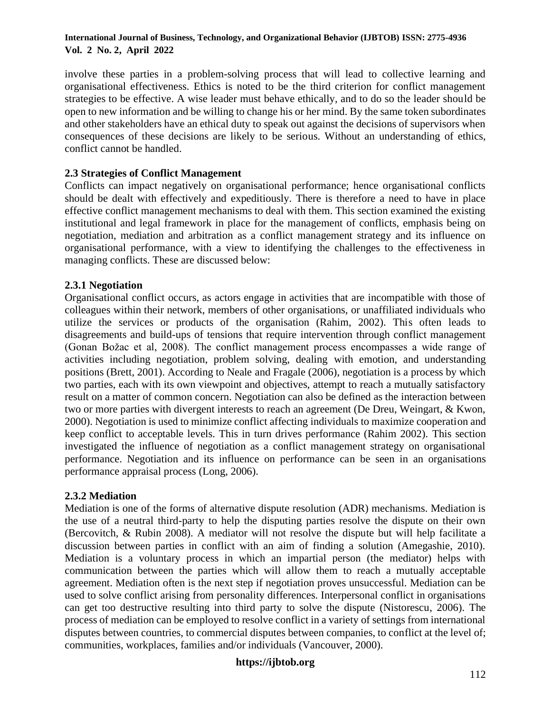involve these parties in a problem-solving process that will lead to collective learning and organisational effectiveness. Ethics is noted to be the third criterion for conflict management strategies to be effective. A wise leader must behave ethically, and to do so the leader should be open to new information and be willing to change his or her mind. By the same token subordinates and other stakeholders have an ethical duty to speak out against the decisions of supervisors when consequences of these decisions are likely to be serious. Without an understanding of ethics, conflict cannot be handled.

## **2.3 Strategies of Conflict Management**

Conflicts can impact negatively on organisational performance; hence organisational conflicts should be dealt with effectively and expeditiously. There is therefore a need to have in place effective conflict management mechanisms to deal with them. This section examined the existing institutional and legal framework in place for the management of conflicts, emphasis being on negotiation, mediation and arbitration as a conflict management strategy and its influence on organisational performance, with a view to identifying the challenges to the effectiveness in managing conflicts. These are discussed below:

## **2.3.1 Negotiation**

Organisational conflict occurs, as actors engage in activities that are incompatible with those of colleagues within their network, members of other organisations, or unaffiliated individuals who utilize the services or products of the organisation (Rahim, 2002). This often leads to disagreements and build-ups of tensions that require intervention through conflict management (Gonan Božac et al, 2008). The conflict management process encompasses a wide range of activities including negotiation, problem solving, dealing with emotion, and understanding positions (Brett, 2001). According to Neale and Fragale (2006), negotiation is a process by which two parties, each with its own viewpoint and objectives, attempt to reach a mutually satisfactory result on a matter of common concern. Negotiation can also be defined as the interaction between two or more parties with divergent interests to reach an agreement (De Dreu, Weingart, & Kwon, 2000). Negotiation is used to minimize conflict affecting individuals to maximize cooperation and keep conflict to acceptable levels. This in turn drives performance (Rahim 2002). This section investigated the influence of negotiation as a conflict management strategy on organisational performance. Negotiation and its influence on performance can be seen in an organisations performance appraisal process (Long, 2006).

## **2.3.2 Mediation**

Mediation is one of the forms of alternative dispute resolution (ADR) mechanisms. Mediation is the use of a neutral third-party to help the disputing parties resolve the dispute on their own (Bercovitch, & Rubin 2008). A mediator will not resolve the dispute but will help facilitate a discussion between parties in conflict with an aim of finding a solution (Amegashie, 2010). Mediation is a voluntary process in which an impartial person (the mediator) helps with communication between the parties which will allow them to reach a mutually acceptable agreement. Mediation often is the next step if negotiation proves unsuccessful. Mediation can be used to solve conflict arising from personality differences. Interpersonal conflict in organisations can get too destructive resulting into third party to solve the dispute (Nistorescu, 2006). The process of mediation can be employed to resolve conflict in a variety of settings from international disputes between countries, to commercial disputes between companies, to conflict at the level of; communities, workplaces, families and/or individuals (Vancouver, 2000).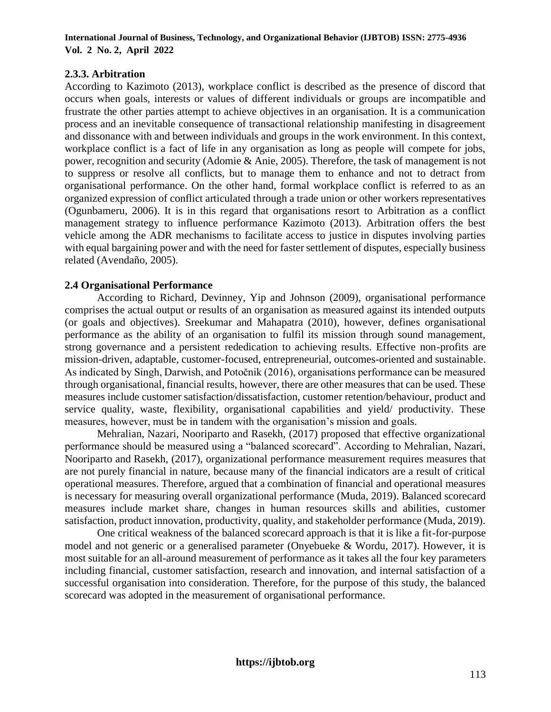## **2.3.3. Arbitration**

According to Kazimoto (2013), workplace conflict is described as the presence of discord that occurs when goals, interests or values of different individuals or groups are incompatible and frustrate the other parties attempt to achieve objectives in an organisation. It is a communication process and an inevitable consequence of transactional relationship manifesting in disagreement and dissonance with and between individuals and groups in the work environment. In this context, workplace conflict is a fact of life in any organisation as long as people will compete for jobs, power, recognition and security (Adomie & Anie, 2005). Therefore, the task of management is not to suppress or resolve all conflicts, but to manage them to enhance and not to detract from organisational performance. On the other hand, formal workplace conflict is referred to as an organized expression of conflict articulated through a trade union or other workers representatives (Ogunbameru, 2006). It is in this regard that organisations resort to Arbitration as a conflict management strategy to influence performance Kazimoto (2013). Arbitration offers the best vehicle among the ADR mechanisms to facilitate access to justice in disputes involving parties with equal bargaining power and with the need for faster settlement of disputes, especially business related (Avendaño, 2005).

## **2.4 Organisational Performance**

According to Richard, Devinney, Yip and Johnson (2009), organisational performance comprises the actual output or results of an organisation as measured against its intended outputs (or goals and objectives). Sreekumar and Mahapatra (2010), however, defines organisational performance as the ability of an organisation to fulfil its mission through sound management, strong governance and a persistent rededication to achieving results. Effective non-profits are mission-driven, adaptable, customer-focused, entrepreneurial, outcomes-oriented and sustainable. As indicated by Singh, Darwish, and Potočnik (2016), organisations performance can be measured through organisational, financial results, however, there are other measures that can be used. These measures include customer satisfaction/dissatisfaction, customer retention/behaviour, product and service quality, waste, flexibility, organisational capabilities and yield/ productivity. These measures, however, must be in tandem with the organisation's mission and goals.

Mehralian, Nazari, Nooriparto and Rasekh, (2017) proposed that effective organizational performance should be measured using a "balanced scorecard". According to Mehralian, Nazari, Nooriparto and Rasekh, (2017), organizational performance measurement requires measures that are not purely financial in nature, because many of the financial indicators are a result of critical operational measures. Therefore, argued that a combination of financial and operational measures is necessary for measuring overall organizational performance (Muda, 2019). Balanced scorecard measures include market share, changes in human resources skills and abilities, customer satisfaction, product innovation, productivity, quality, and stakeholder performance (Muda, 2019).

One critical weakness of the balanced scorecard approach is that it is like a fit-for-purpose model and not generic or a generalised parameter (Onyebueke & Wordu, 2017). However, it is most suitable for an all-around measurement of performance as it takes all the four key parameters including financial, customer satisfaction, research and innovation, and internal satisfaction of a successful organisation into consideration. Therefore, for the purpose of this study, the balanced scorecard was adopted in the measurement of organisational performance.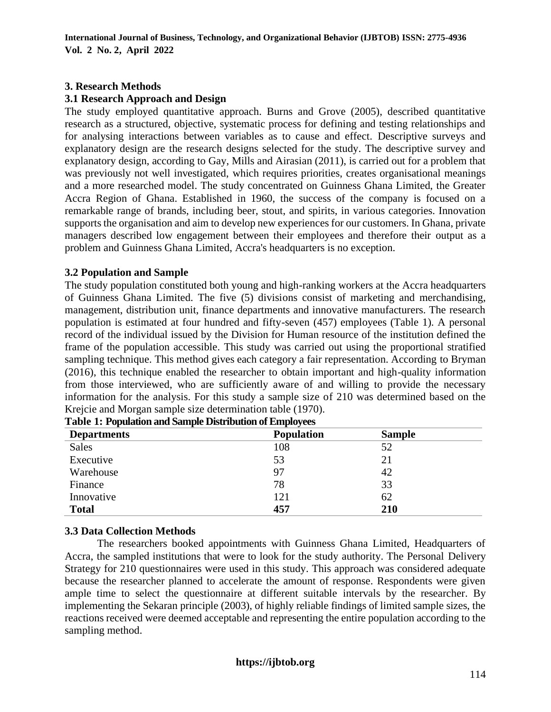## **3. Research Methods**

## **3.1 Research Approach and Design**

The study employed quantitative approach. Burns and Grove (2005), described quantitative research as a structured, objective, systematic process for defining and testing relationships and for analysing interactions between variables as to cause and effect. Descriptive surveys and explanatory design are the research designs selected for the study. The descriptive survey and explanatory design, according to Gay, Mills and Airasian (2011), is carried out for a problem that was previously not well investigated, which requires priorities, creates organisational meanings and a more researched model. The study concentrated on Guinness Ghana Limited, the Greater Accra Region of Ghana. Established in 1960, the success of the company is focused on a remarkable range of brands, including beer, stout, and spirits, in various categories. Innovation supports the organisation and aim to develop new experiences for our customers. In Ghana, private managers described low engagement between their employees and therefore their output as a problem and Guinness Ghana Limited, Accra's headquarters is no exception.

## **3.2 Population and Sample**

The study population constituted both young and high-ranking workers at the Accra headquarters of Guinness Ghana Limited. The five (5) divisions consist of marketing and merchandising, management, distribution unit, finance departments and innovative manufacturers. The research population is estimated at four hundred and fifty-seven (457) employees (Table 1). A personal record of the individual issued by the Division for Human resource of the institution defined the frame of the population accessible. This study was carried out using the proportional stratified sampling technique. This method gives each category a fair representation. According to Bryman (2016), this technique enabled the researcher to obtain important and high-quality information from those interviewed, who are sufficiently aware of and willing to provide the necessary information for the analysis. For this study a sample size of 210 was determined based on the Krejcie and Morgan sample size determination table (1970).

| <b>Departments</b> | <b>Population</b> | <b>Sample</b> |
|--------------------|-------------------|---------------|
| <b>Sales</b>       | 108               | 52            |
| Executive          | 53                | 21            |
| Warehouse          | 97                | 42            |
| Finance            | 78                | 33            |
| Innovative         | 121               | 62            |
| <b>Total</b>       | 457               | 210           |

| Table 1: Population and Sample Distribution of Employees |  |  |  |  |  |
|----------------------------------------------------------|--|--|--|--|--|
|----------------------------------------------------------|--|--|--|--|--|

## **3.3 Data Collection Methods**

The researchers booked appointments with Guinness Ghana Limited, Headquarters of Accra, the sampled institutions that were to look for the study authority. The Personal Delivery Strategy for 210 questionnaires were used in this study. This approach was considered adequate because the researcher planned to accelerate the amount of response. Respondents were given ample time to select the questionnaire at different suitable intervals by the researcher. By implementing the Sekaran principle (2003), of highly reliable findings of limited sample sizes, the reactions received were deemed acceptable and representing the entire population according to the sampling method.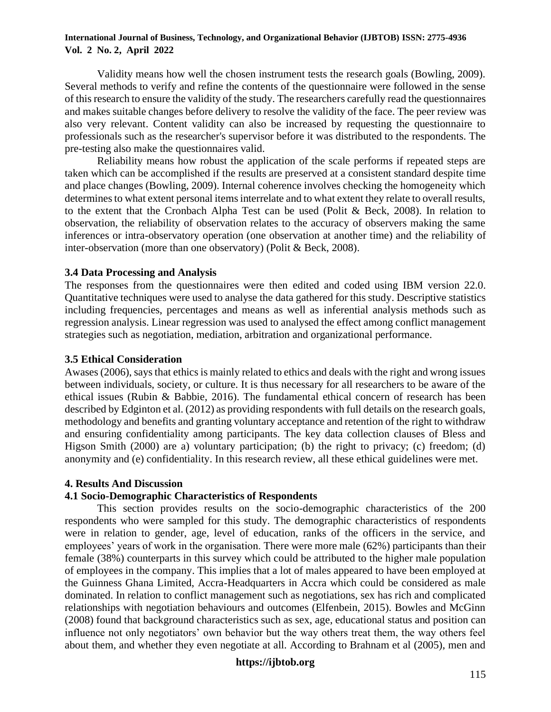Validity means how well the chosen instrument tests the research goals (Bowling, 2009). Several methods to verify and refine the contents of the questionnaire were followed in the sense of this research to ensure the validity of the study. The researchers carefully read the questionnaires and makes suitable changes before delivery to resolve the validity of the face. The peer review was also very relevant. Content validity can also be increased by requesting the questionnaire to professionals such as the researcher's supervisor before it was distributed to the respondents. The pre-testing also make the questionnaires valid.

Reliability means how robust the application of the scale performs if repeated steps are taken which can be accomplished if the results are preserved at a consistent standard despite time and place changes (Bowling, 2009). Internal coherence involves checking the homogeneity which determines to what extent personal items interrelate and to what extent they relate to overall results, to the extent that the Cronbach Alpha Test can be used (Polit & Beck, 2008). In relation to observation, the reliability of observation relates to the accuracy of observers making the same inferences or intra-observatory operation (one observation at another time) and the reliability of inter-observation (more than one observatory) (Polit & Beck, 2008).

### **3.4 Data Processing and Analysis**

The responses from the questionnaires were then edited and coded using IBM version 22.0. Quantitative techniques were used to analyse the data gathered for this study. Descriptive statistics including frequencies, percentages and means as well as inferential analysis methods such as regression analysis. Linear regression was used to analysed the effect among conflict management strategies such as negotiation, mediation, arbitration and organizational performance.

#### **3.5 Ethical Consideration**

Awases (2006), says that ethics is mainly related to ethics and deals with the right and wrong issues between individuals, society, or culture. It is thus necessary for all researchers to be aware of the ethical issues (Rubin & Babbie, 2016). The fundamental ethical concern of research has been described by Edginton et al. (2012) as providing respondents with full details on the research goals, methodology and benefits and granting voluntary acceptance and retention of the right to withdraw and ensuring confidentiality among participants. The key data collection clauses of Bless and Higson Smith (2000) are a) voluntary participation; (b) the right to privacy; (c) freedom; (d) anonymity and (e) confidentiality. In this research review, all these ethical guidelines were met.

#### **4. Results And Discussion**

## **4.1 Socio-Demographic Characteristics of Respondents**

This section provides results on the socio-demographic characteristics of the 200 respondents who were sampled for this study. The demographic characteristics of respondents were in relation to gender, age, level of education, ranks of the officers in the service, and employees' years of work in the organisation. There were more male (62%) participants than their female (38%) counterparts in this survey which could be attributed to the higher male population of employees in the company. This implies that a lot of males appeared to have been employed at the Guinness Ghana Limited, Accra-Headquarters in Accra which could be considered as male dominated. In relation to conflict management such as negotiations, sex has rich and complicated relationships with negotiation behaviours and outcomes (Elfenbein, 2015). Bowles and McGinn (2008) found that background characteristics such as sex, age, educational status and position can influence not only negotiators' own behavior but the way others treat them, the way others feel about them, and whether they even negotiate at all. According to Brahnam et al (2005), men and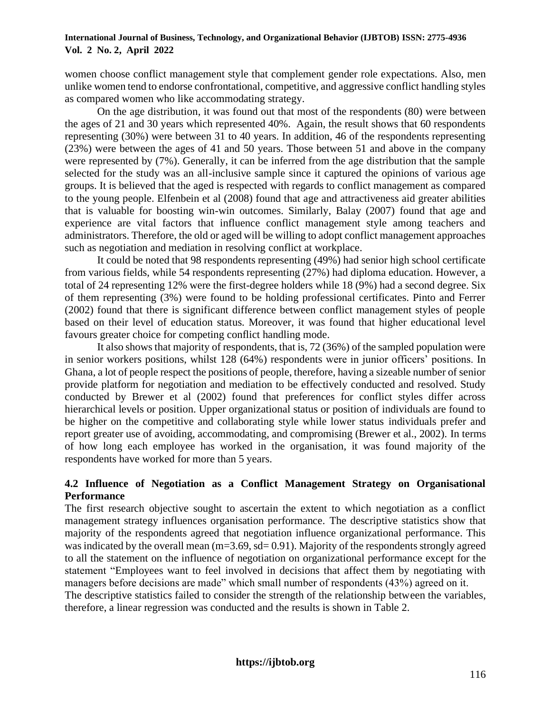women choose conflict management style that complement gender role expectations. Also, men unlike women tend to endorse confrontational, competitive, and aggressive conflict handling styles as compared women who like accommodating strategy.

On the age distribution, it was found out that most of the respondents (80) were between the ages of 21 and 30 years which represented 40%. Again, the result shows that 60 respondents representing (30%) were between 31 to 40 years. In addition, 46 of the respondents representing (23%) were between the ages of 41 and 50 years. Those between 51 and above in the company were represented by (7%). Generally, it can be inferred from the age distribution that the sample selected for the study was an all-inclusive sample since it captured the opinions of various age groups. It is believed that the aged is respected with regards to conflict management as compared to the young people. Elfenbein et al (2008) found that age and attractiveness aid greater abilities that is valuable for boosting win-win outcomes. Similarly, Balay (2007) found that age and experience are vital factors that influence conflict management style among teachers and administrators. Therefore, the old or aged will be willing to adopt conflict management approaches such as negotiation and mediation in resolving conflict at workplace.

It could be noted that 98 respondents representing (49%) had senior high school certificate from various fields, while 54 respondents representing (27%) had diploma education. However, a total of 24 representing 12% were the first-degree holders while 18 (9%) had a second degree. Six of them representing (3%) were found to be holding professional certificates. Pinto and Ferrer (2002) found that there is significant difference between conflict management styles of people based on their level of education status. Moreover, it was found that higher educational level favours greater choice for competing conflict handling mode.

It also shows that majority of respondents, that is, 72 (36%) of the sampled population were in senior workers positions, whilst 128 (64%) respondents were in junior officers' positions. In Ghana, a lot of people respect the positions of people, therefore, having a sizeable number of senior provide platform for negotiation and mediation to be effectively conducted and resolved. Study conducted by Brewer et al (2002) found that preferences for conflict styles differ across hierarchical levels or position. Upper organizational status or position of individuals are found to be higher on the competitive and collaborating style while lower status individuals prefer and report greater use of avoiding, accommodating, and compromising (Brewer et al., 2002). In terms of how long each employee has worked in the organisation, it was found majority of the respondents have worked for more than 5 years.

## **4.2 Influence of Negotiation as a Conflict Management Strategy on Organisational Performance**

The first research objective sought to ascertain the extent to which negotiation as a conflict management strategy influences organisation performance. The descriptive statistics show that majority of the respondents agreed that negotiation influence organizational performance. This was indicated by the overall mean (m=3.69, sd= 0.91). Majority of the respondents strongly agreed to all the statement on the influence of negotiation on organizational performance except for the statement "Employees want to feel involved in decisions that affect them by negotiating with managers before decisions are made" which small number of respondents (43%) agreed on it.

The descriptive statistics failed to consider the strength of the relationship between the variables, therefore, a linear regression was conducted and the results is shown in Table 2.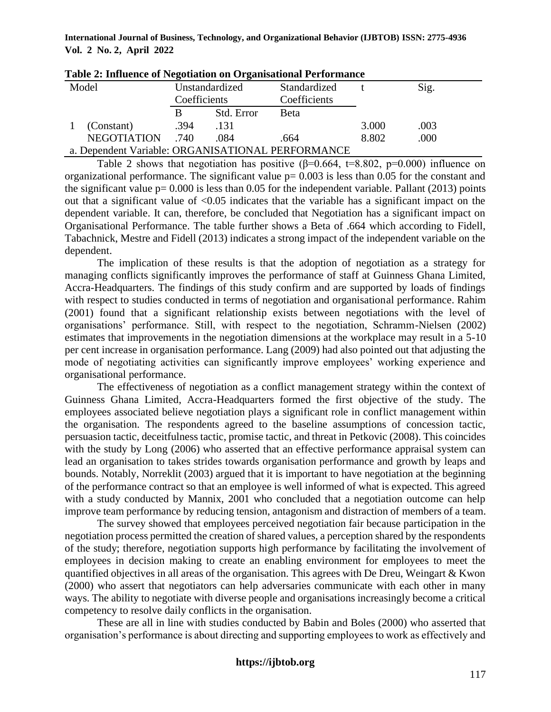| Tuble at influence of Figuration on Organisational I error mance |              |                |                              |       |      |  |
|------------------------------------------------------------------|--------------|----------------|------------------------------|-------|------|--|
| Model                                                            | Coefficients | Unstandardized | Standardized<br>Coefficients |       | Sig. |  |
|                                                                  | B            | Std. Error     | <b>Beta</b>                  |       |      |  |
| (Constant)                                                       | .394         | .131           |                              | 3.000 | .003 |  |
| NEGOTIATION                                                      | .740         | .084           | .664                         | 8.802 | .000 |  |
| a. Dependent Variable: ORGANISATIONAL PERFORMANCE                |              |                |                              |       |      |  |

| Table 2: Influence of Negotiation on Organisational Performance |  |  |
|-----------------------------------------------------------------|--|--|
|                                                                 |  |  |

Table 2 shows that negotiation has positive ( $\beta$ =0.664, t=8.802, p=0.000) influence on organizational performance. The significant value  $p= 0.003$  is less than 0.05 for the constant and the significant value  $p= 0.000$  is less than 0.05 for the independent variable. Pallant (2013) points out that a significant value of  $\langle 0.05 \rangle$  indicates that the variable has a significant impact on the dependent variable. It can, therefore, be concluded that Negotiation has a significant impact on Organisational Performance. The table further shows a Beta of .664 which according to Fidell, Tabachnick, Mestre and Fidell (2013) indicates a strong impact of the independent variable on the dependent.

The implication of these results is that the adoption of negotiation as a strategy for managing conflicts significantly improves the performance of staff at Guinness Ghana Limited, Accra-Headquarters. The findings of this study confirm and are supported by loads of findings with respect to studies conducted in terms of negotiation and organisational performance. Rahim (2001) found that a significant relationship exists between negotiations with the level of organisations' performance. Still, with respect to the negotiation, Schramm-Nielsen (2002) estimates that improvements in the negotiation dimensions at the workplace may result in a 5-10 per cent increase in organisation performance. Lang (2009) had also pointed out that adjusting the mode of negotiating activities can significantly improve employees' working experience and organisational performance.

The effectiveness of negotiation as a conflict management strategy within the context of Guinness Ghana Limited, Accra-Headquarters formed the first objective of the study. The employees associated believe negotiation plays a significant role in conflict management within the organisation. The respondents agreed to the baseline assumptions of concession tactic, persuasion tactic, deceitfulness tactic, promise tactic, and threat in Petkovic (2008). This coincides with the study by Long (2006) who asserted that an effective performance appraisal system can lead an organisation to takes strides towards organisation performance and growth by leaps and bounds. Notably, Norreklit (2003) argued that it is important to have negotiation at the beginning of the performance contract so that an employee is well informed of what is expected. This agreed with a study conducted by Mannix, 2001 who concluded that a negotiation outcome can help improve team performance by reducing tension, antagonism and distraction of members of a team.

The survey showed that employees perceived negotiation fair because participation in the negotiation process permitted the creation of shared values, a perception shared by the respondents of the study; therefore, negotiation supports high performance by facilitating the involvement of employees in decision making to create an enabling environment for employees to meet the quantified objectives in all areas of the organisation. This agrees with De Dreu, Weingart & Kwon (2000) who assert that negotiators can help adversaries communicate with each other in many ways. The ability to negotiate with diverse people and organisations increasingly become a critical competency to resolve daily conflicts in the organisation.

These are all in line with studies conducted by Babin and Boles (2000) who asserted that organisation's performance is about directing and supporting employees to work as effectively and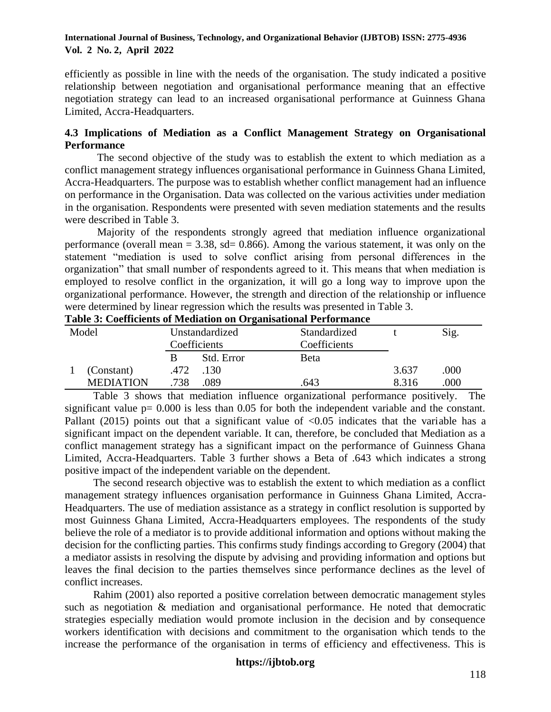efficiently as possible in line with the needs of the organisation. The study indicated a positive relationship between negotiation and organisational performance meaning that an effective negotiation strategy can lead to an increased organisational performance at Guinness Ghana Limited, Accra-Headquarters.

## **4.3 Implications of Mediation as a Conflict Management Strategy on Organisational Performance**

The second objective of the study was to establish the extent to which mediation as a conflict management strategy influences organisational performance in Guinness Ghana Limited, Accra-Headquarters. The purpose was to establish whether conflict management had an influence on performance in the Organisation. Data was collected on the various activities under mediation in the organisation. Respondents were presented with seven mediation statements and the results were described in Table 3.

Majority of the respondents strongly agreed that mediation influence organizational performance (overall mean  $= 3.38$ , sd= 0.866). Among the various statement, it was only on the statement "mediation is used to solve conflict arising from personal differences in the organization" that small number of respondents agreed to it. This means that when mediation is employed to resolve conflict in the organization, it will go a long way to improve upon the organizational performance. However, the strength and direction of the relationship or influence were determined by linear regression which the results was presented in Table 3.

|                  |      | o              |              |       |      |
|------------------|------|----------------|--------------|-------|------|
| Model            |      | Unstandardized | Standardized |       | Sig. |
|                  |      | Coefficients   | Coefficients |       |      |
|                  |      | Std. Error     | <b>Beta</b>  |       |      |
| (Constant)       | .472 | .130           |              | 3.637 | .000 |
| <b>MEDIATION</b> | 738  | .089           | .643         | 8.316 | .000 |

**Table 3: Coefficients of Mediation on Organisational Performance**

Table 3 shows that mediation influence organizational performance positively. The significant value  $p= 0.000$  is less than 0.05 for both the independent variable and the constant. Pallant (2015) points out that a significant value of  $\langle 0.05 \rangle$  indicates that the variable has a significant impact on the dependent variable. It can, therefore, be concluded that Mediation as a conflict management strategy has a significant impact on the performance of Guinness Ghana Limited, Accra-Headquarters. Table 3 further shows a Beta of .643 which indicates a strong positive impact of the independent variable on the dependent.

The second research objective was to establish the extent to which mediation as a conflict management strategy influences organisation performance in Guinness Ghana Limited, Accra-Headquarters. The use of mediation assistance as a strategy in conflict resolution is supported by most Guinness Ghana Limited, Accra-Headquarters employees. The respondents of the study believe the role of a mediator is to provide additional information and options without making the decision for the conflicting parties. This confirms study findings according to Gregory (2004) that a mediator assists in resolving the dispute by advising and providing information and options but leaves the final decision to the parties themselves since performance declines as the level of conflict increases.

Rahim (2001) also reported a positive correlation between democratic management styles such as negotiation & mediation and organisational performance. He noted that democratic strategies especially mediation would promote inclusion in the decision and by consequence workers identification with decisions and commitment to the organisation which tends to the increase the performance of the organisation in terms of efficiency and effectiveness. This is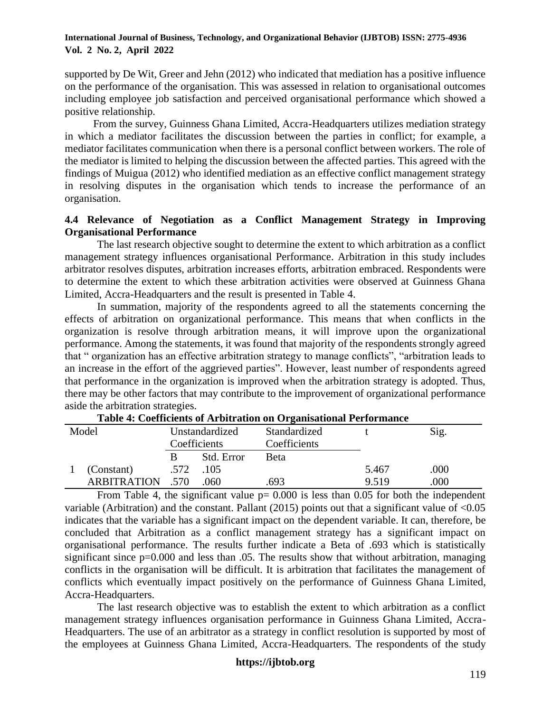supported by De Wit, Greer and Jehn (2012) who indicated that mediation has a positive influence on the performance of the organisation. This was assessed in relation to organisational outcomes including employee job satisfaction and perceived organisational performance which showed a positive relationship.

From the survey, Guinness Ghana Limited, Accra-Headquarters utilizes mediation strategy in which a mediator facilitates the discussion between the parties in conflict; for example, a mediator facilitates communication when there is a personal conflict between workers. The role of the mediator is limited to helping the discussion between the affected parties. This agreed with the findings of Muigua (2012) who identified mediation as an effective conflict management strategy in resolving disputes in the organisation which tends to increase the performance of an organisation.

## **4.4 Relevance of Negotiation as a Conflict Management Strategy in Improving Organisational Performance**

The last research objective sought to determine the extent to which arbitration as a conflict management strategy influences organisational Performance. Arbitration in this study includes arbitrator resolves disputes, arbitration increases efforts, arbitration embraced. Respondents were to determine the extent to which these arbitration activities were observed at Guinness Ghana Limited, Accra-Headquarters and the result is presented in Table 4.

In summation, majority of the respondents agreed to all the statements concerning the effects of arbitration on organizational performance. This means that when conflicts in the organization is resolve through arbitration means, it will improve upon the organizational performance. Among the statements, it was found that majority of the respondents strongly agreed that " organization has an effective arbitration strategy to manage conflicts", "arbitration leads to an increase in the effort of the aggrieved parties". However, least number of respondents agreed that performance in the organization is improved when the arbitration strategy is adopted. Thus, there may be other factors that may contribute to the improvement of organizational performance aside the arbitration strategies.

| Model |                    | Unstandardized |                     | Standardized |       | Sig. |  |  |
|-------|--------------------|----------------|---------------------|--------------|-------|------|--|--|
|       |                    |                | <b>Coefficients</b> | Coefficients |       |      |  |  |
|       |                    | B              | Std. Error          | Beta         |       |      |  |  |
|       | (Constant)         | .572           | .105                |              | 5.467 | .000 |  |  |
|       | <b>ARBITRATION</b> | .570           | .060                | .693         | 9.519 | .000 |  |  |

**Table 4: Coefficients of Arbitration on Organisational Performance**

From Table 4, the significant value  $p= 0.000$  is less than 0.05 for both the independent variable (Arbitration) and the constant. Pallant (2015) points out that a significant value of  $\leq 0.05$ indicates that the variable has a significant impact on the dependent variable. It can, therefore, be concluded that Arbitration as a conflict management strategy has a significant impact on organisational performance. The results further indicate a Beta of .693 which is statistically significant since  $p=0.000$  and less than 0.05. The results show that without arbitration, managing conflicts in the organisation will be difficult. It is arbitration that facilitates the management of conflicts which eventually impact positively on the performance of Guinness Ghana Limited, Accra-Headquarters.

The last research objective was to establish the extent to which arbitration as a conflict management strategy influences organisation performance in Guinness Ghana Limited, Accra-Headquarters. The use of an arbitrator as a strategy in conflict resolution is supported by most of the employees at Guinness Ghana Limited, Accra-Headquarters. The respondents of the study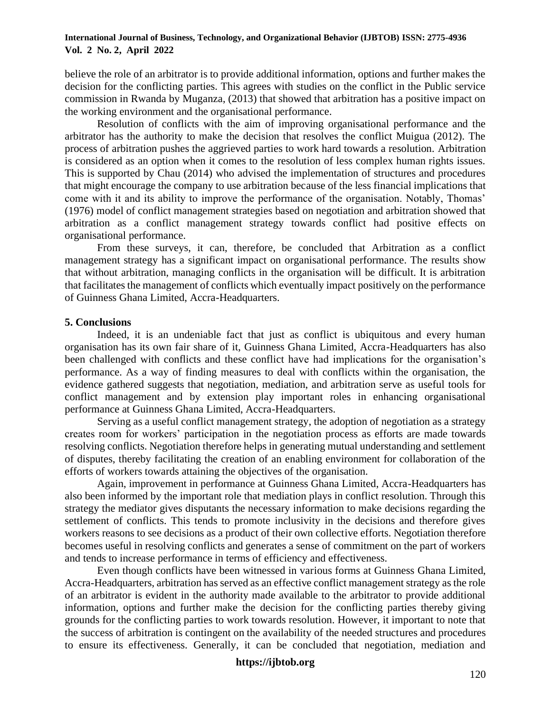believe the role of an arbitrator is to provide additional information, options and further makes the decision for the conflicting parties. This agrees with studies on the conflict in the Public service commission in Rwanda by Muganza, (2013) that showed that arbitration has a positive impact on the working environment and the organisational performance.

Resolution of conflicts with the aim of improving organisational performance and the arbitrator has the authority to make the decision that resolves the conflict Muigua (2012). The process of arbitration pushes the aggrieved parties to work hard towards a resolution. Arbitration is considered as an option when it comes to the resolution of less complex human rights issues. This is supported by Chau (2014) who advised the implementation of structures and procedures that might encourage the company to use arbitration because of the less financial implications that come with it and its ability to improve the performance of the organisation. Notably, Thomas' (1976) model of conflict management strategies based on negotiation and arbitration showed that arbitration as a conflict management strategy towards conflict had positive effects on organisational performance.

From these surveys, it can, therefore, be concluded that Arbitration as a conflict management strategy has a significant impact on organisational performance. The results show that without arbitration, managing conflicts in the organisation will be difficult. It is arbitration that facilitates the management of conflicts which eventually impact positively on the performance of Guinness Ghana Limited, Accra-Headquarters.

### **5. Conclusions**

Indeed, it is an undeniable fact that just as conflict is ubiquitous and every human organisation has its own fair share of it, Guinness Ghana Limited, Accra-Headquarters has also been challenged with conflicts and these conflict have had implications for the organisation's performance. As a way of finding measures to deal with conflicts within the organisation, the evidence gathered suggests that negotiation, mediation, and arbitration serve as useful tools for conflict management and by extension play important roles in enhancing organisational performance at Guinness Ghana Limited, Accra-Headquarters.

Serving as a useful conflict management strategy, the adoption of negotiation as a strategy creates room for workers' participation in the negotiation process as efforts are made towards resolving conflicts. Negotiation therefore helps in generating mutual understanding and settlement of disputes, thereby facilitating the creation of an enabling environment for collaboration of the efforts of workers towards attaining the objectives of the organisation.

Again, improvement in performance at Guinness Ghana Limited, Accra-Headquarters has also been informed by the important role that mediation plays in conflict resolution. Through this strategy the mediator gives disputants the necessary information to make decisions regarding the settlement of conflicts. This tends to promote inclusivity in the decisions and therefore gives workers reasons to see decisions as a product of their own collective efforts. Negotiation therefore becomes useful in resolving conflicts and generates a sense of commitment on the part of workers and tends to increase performance in terms of efficiency and effectiveness.

Even though conflicts have been witnessed in various forms at Guinness Ghana Limited, Accra-Headquarters, arbitration has served as an effective conflict management strategy as the role of an arbitrator is evident in the authority made available to the arbitrator to provide additional information, options and further make the decision for the conflicting parties thereby giving grounds for the conflicting parties to work towards resolution. However, it important to note that the success of arbitration is contingent on the availability of the needed structures and procedures to ensure its effectiveness. Generally, it can be concluded that negotiation, mediation and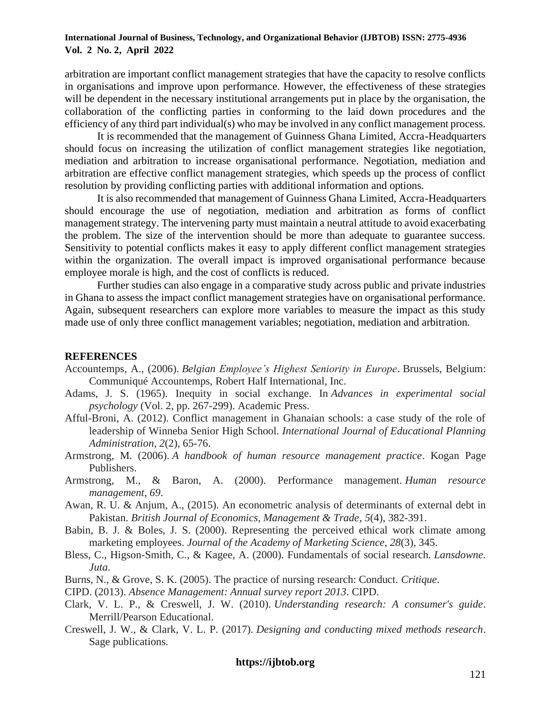arbitration are important conflict management strategies that have the capacity to resolve conflicts in organisations and improve upon performance. However, the effectiveness of these strategies will be dependent in the necessary institutional arrangements put in place by the organisation, the collaboration of the conflicting parties in conforming to the laid down procedures and the efficiency of any third part individual(s) who may be involved in any conflict management process.

It is recommended that the management of Guinness Ghana Limited, Accra-Headquarters should focus on increasing the utilization of conflict management strategies like negotiation, mediation and arbitration to increase organisational performance. Negotiation, mediation and arbitration are effective conflict management strategies, which speeds up the process of conflict resolution by providing conflicting parties with additional information and options.

It is also recommended that management of Guinness Ghana Limited, Accra-Headquarters should encourage the use of negotiation, mediation and arbitration as forms of conflict management strategy. The intervening party must maintain a neutral attitude to avoid exacerbating the problem. The size of the intervention should be more than adequate to guarantee success. Sensitivity to potential conflicts makes it easy to apply different conflict management strategies within the organization. The overall impact is improved organisational performance because employee morale is high, and the cost of conflicts is reduced.

Further studies can also engage in a comparative study across public and private industries in Ghana to assess the impact conflict management strategies have on organisational performance. Again, subsequent researchers can explore more variables to measure the impact as this study made use of only three conflict management variables; negotiation, mediation and arbitration.

#### **REFERENCES**

- Accountemps, A., (2006). *Belgian Employee's Highest Seniority in Europe*. Brussels, Belgium: Communiqué Accountemps, Robert Half International, Inc.
- Adams, J. S. (1965). Inequity in social exchange. In *Advances in experimental social psychology* (Vol. 2, pp. 267-299). Academic Press.
- Afful-Broni, A. (2012). Conflict management in Ghanaian schools: a case study of the role of leadership of Winneba Senior High School. *International Journal of Educational Planning Administration*, *2*(2), 65-76.
- Armstrong, M. (2006). *A handbook of human resource management practice*. Kogan Page Publishers.
- Armstrong, M., & Baron, A. (2000). Performance management. *Human resource management*, *69*.
- Awan, R. U. & Anjum, A., (2015). An econometric analysis of determinants of external debt in Pakistan. *British Journal of Economics, Management & Trade*, *5*(4), 382-391.
- Babin, B. J. & Boles, J. S. (2000). Representing the perceived ethical work climate among marketing employees. *Journal of the Academy of Marketing Science*, *28*(3), 345.
- Bless, C., Higson-Smith, C., & Kagee, A. (2000). Fundamentals of social research. *Lansdowne. Juta*.
- Burns, N., & Grove, S. K. (2005). The practice of nursing research: Conduct. *Critique*.
- CIPD. (2013). *Absence Management: Annual survey report 2013*. CIPD.
- Clark, V. L. P., & Creswell, J. W. (2010). *Understanding research: A consumer's guide*. Merrill/Pearson Educational.
- Creswell, J. W., & Clark, V. L. P. (2017). *Designing and conducting mixed methods research*. Sage publications.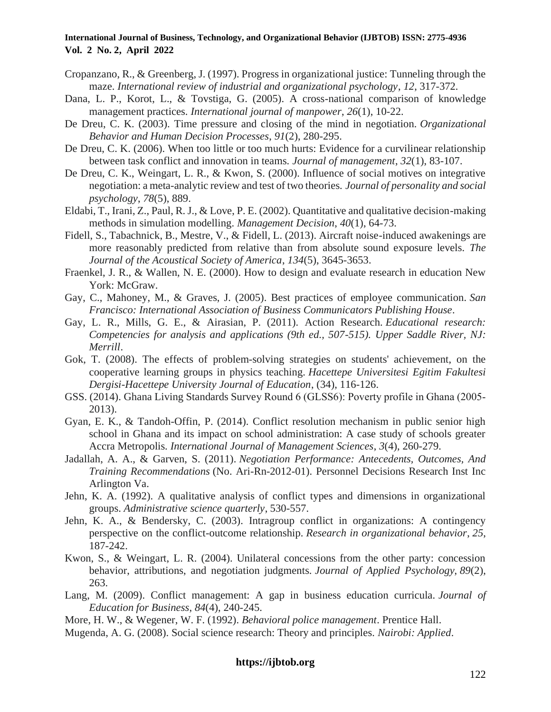- Cropanzano, R., & Greenberg, J. (1997). Progress in organizational justice: Tunneling through the maze. *International review of industrial and organizational psychology*, *12*, 317-372.
- Dana, L. P., Korot, L., & Tovstiga, G. (2005). A cross-national comparison of knowledge management practices. *International journal of manpower*, *26*(1), 10-22.
- De Dreu, C. K. (2003). Time pressure and closing of the mind in negotiation. *Organizational Behavior and Human Decision Processes*, *91*(2), 280-295.
- De Dreu, C. K. (2006). When too little or too much hurts: Evidence for a curvilinear relationship between task conflict and innovation in teams. *Journal of management*, *32*(1), 83-107.
- De Dreu, C. K., Weingart, L. R., & Kwon, S. (2000). Influence of social motives on integrative negotiation: a meta-analytic review and test of two theories. *Journal of personality and social psychology*, *78*(5), 889.
- Eldabi, T., Irani, Z., Paul, R. J., & Love, P. E. (2002). Quantitative and qualitative decision-making methods in simulation modelling. *Management Decision*, *40*(1), 64-73.
- Fidell, S., Tabachnick, B., Mestre, V., & Fidell, L. (2013). Aircraft noise-induced awakenings are more reasonably predicted from relative than from absolute sound exposure levels. *The Journal of the Acoustical Society of America*, *134*(5), 3645-3653.
- Fraenkel, J. R., & Wallen, N. E. (2000). How to design and evaluate research in education New York: McGraw.
- Gay, C., Mahoney, M., & Graves, J. (2005). Best practices of employee communication. *San Francisco: International Association of Business Communicators Publishing House*.
- Gay, L. R., Mills, G. E., & Airasian, P. (2011). Action Research. *Educational research: Competencies for analysis and applications (9th ed., 507-515). Upper Saddle River, NJ: Merrill*.
- Gok, T. (2008). The effects of problem-solving strategies on students' achievement, on the cooperative learning groups in physics teaching. *Hacettepe Universitesi Egitim Fakultesi Dergisi-Hacettepe University Journal of Education*, (34), 116-126.
- GSS. (2014). Ghana Living Standards Survey Round 6 (GLSS6): Poverty profile in Ghana (2005‐ 2013).
- Gyan, E. K., & Tandoh-Offin, P. (2014). Conflict resolution mechanism in public senior high school in Ghana and its impact on school administration: A case study of schools greater Accra Metropolis. *International Journal of Management Sciences*, *3*(4), 260-279.
- Jadallah, A. A., & Garven, S. (2011). *Negotiation Performance: Antecedents, Outcomes, And Training Recommendations* (No. Ari-Rn-2012-01). Personnel Decisions Research Inst Inc Arlington Va.
- Jehn, K. A. (1992). A qualitative analysis of conflict types and dimensions in organizational groups. *Administrative science quarterly*, 530-557.
- Jehn, K. A., & Bendersky, C. (2003). Intragroup conflict in organizations: A contingency perspective on the conflict-outcome relationship. *Research in organizational behavior*, *25*, 187-242.
- Kwon, S., & Weingart, L. R. (2004). Unilateral concessions from the other party: concession behavior, attributions, and negotiation judgments. *Journal of Applied Psychology*, *89*(2), 263.
- Lang, M. (2009). Conflict management: A gap in business education curricula. *Journal of Education for Business*, *84*(4), 240-245.
- More, H. W., & Wegener, W. F. (1992). *Behavioral police management*. Prentice Hall.
- Mugenda, A. G. (2008). Social science research: Theory and principles. *Nairobi: Applied*.